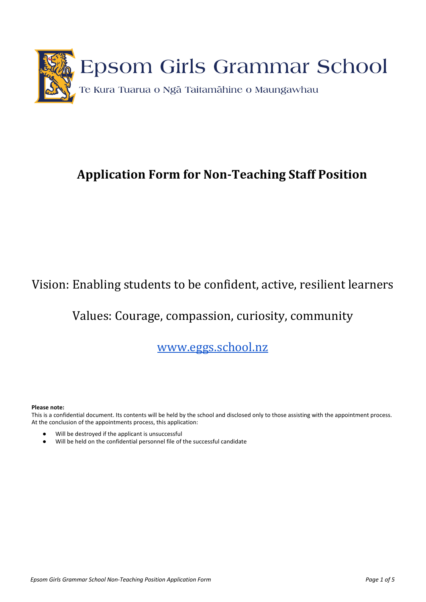

# **Application Form for Non-Teaching Staff Position**

## Vision: Enabling students to be confident, active, resilient learners

## Values: Courag[e, compassion, curios](http://www.egg.school.nz/)ity, community

## www.eggs.school.nz

#### **Please note:**

This is a confidential document. Its contents will be held by the school and disclosed only to those assisting with the appointment process. At the conclusion of the appointments process, this application:

- Will be destroyed if the applicant is unsuccessful
- Will be held on the confidential personnel file of the successful candidate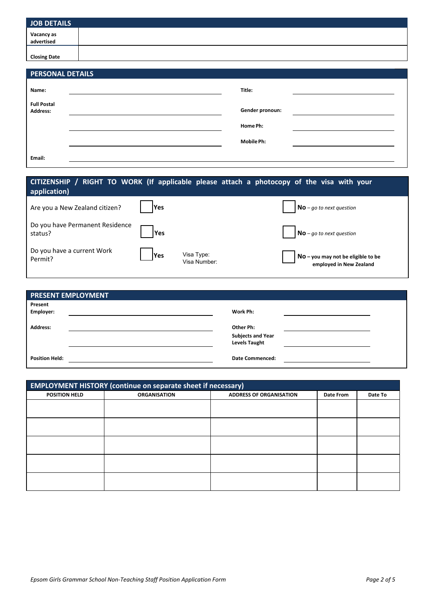| JOB DETAILS              |  |
|--------------------------|--|
| Vacancy as<br>advertised |  |
| <b>Closing Date</b>      |  |

| <b>PERSONAL DETAILS</b>        |  |                   |  |
|--------------------------------|--|-------------------|--|
| Name:                          |  | Title:            |  |
| <b>Full Postal</b><br>Address: |  | Gender pronoun:   |  |
|                                |  | Home Ph:          |  |
|                                |  | <b>Mobile Ph:</b> |  |
| Email:                         |  |                   |  |

| CITIZENSHIP / RIGHT TO WORK (If applicable please attach a photocopy of the visa with your<br>application) |             |                            |                                                               |
|------------------------------------------------------------------------------------------------------------|-------------|----------------------------|---------------------------------------------------------------|
| Are you a New Zealand citizen?                                                                             | <b>IYes</b> |                            | $\mathsf{No}\,$ - go to next question                         |
| Do you have Permanent Residence<br>status?                                                                 | <b>Yes</b>  |                            | $No$ – go to next question                                    |
| Do you have a current Work<br>Permit?                                                                      | <b>IYes</b> | Visa Type:<br>Visa Number: | No - you may not be eligible to be<br>employed in New Zealand |

| <b>PRESENT EMPLOYMENT</b>   |                          |  |
|-----------------------------|--------------------------|--|
| Present<br><b>Employer:</b> | Work Ph:                 |  |
| <b>Address:</b>             | Other Ph:                |  |
|                             | <b>Subjects and Year</b> |  |
|                             | <b>Levels Taught</b>     |  |
| <b>Position Held:</b>       | <b>Date Commenced:</b>   |  |

| <b>EMPLOYMENT HISTORY (continue on separate sheet if necessary)</b> |                     |                                |           |         |
|---------------------------------------------------------------------|---------------------|--------------------------------|-----------|---------|
| <b>POSITION HELD</b>                                                | <b>ORGANISATION</b> | <b>ADDRESS OF ORGANISATION</b> | Date From | Date To |
|                                                                     |                     |                                |           |         |
|                                                                     |                     |                                |           |         |
|                                                                     |                     |                                |           |         |
|                                                                     |                     |                                |           |         |
|                                                                     |                     |                                |           |         |
|                                                                     |                     |                                |           |         |
|                                                                     |                     |                                |           |         |
|                                                                     |                     |                                |           |         |
|                                                                     |                     |                                |           |         |
|                                                                     |                     |                                |           |         |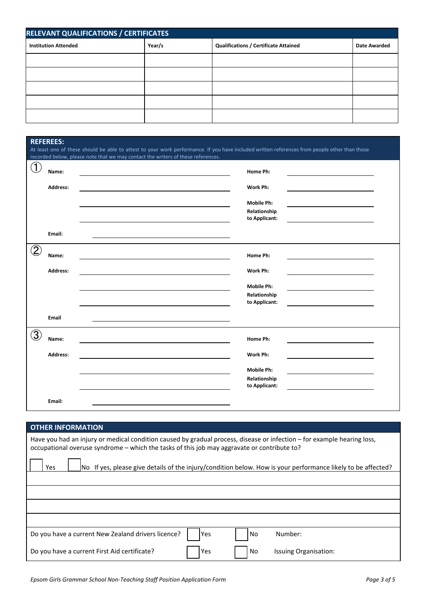| RELEVANT QUALIFICATIONS / CERTIFICATES |        |                                              |                     |
|----------------------------------------|--------|----------------------------------------------|---------------------|
| <b>Institution Attended</b>            | Year/s | <b>Qualifications / Certificate Attained</b> | <b>Date Awarded</b> |
|                                        |        |                                              |                     |
|                                        |        |                                              |                     |
|                                        |        |                                              |                     |
|                                        |        |                                              |                     |
|                                        |        |                                              |                     |

|                   | <b>REFEREES:</b>                                                                                                                                                                                                                  |                   |  |  |
|-------------------|-----------------------------------------------------------------------------------------------------------------------------------------------------------------------------------------------------------------------------------|-------------------|--|--|
|                   | At least one of these should be able to attest to your work performance. If you have included written references from people other than those<br>recorded below, please note that we may contact the writers of these references. |                   |  |  |
| $\mathfrak{J}$    |                                                                                                                                                                                                                                   |                   |  |  |
|                   | Name:                                                                                                                                                                                                                             | Home Ph:          |  |  |
|                   | <b>Address:</b>                                                                                                                                                                                                                   | Work Ph:          |  |  |
|                   |                                                                                                                                                                                                                                   | <b>Mobile Ph:</b> |  |  |
|                   |                                                                                                                                                                                                                                   | Relationship      |  |  |
|                   |                                                                                                                                                                                                                                   | to Applicant:     |  |  |
|                   | Email:                                                                                                                                                                                                                            |                   |  |  |
| $\left( 2\right)$ | Name:                                                                                                                                                                                                                             | Home Ph:          |  |  |
|                   | Address:                                                                                                                                                                                                                          | Work Ph:          |  |  |
|                   |                                                                                                                                                                                                                                   | <b>Mobile Ph:</b> |  |  |
|                   |                                                                                                                                                                                                                                   | Relationship      |  |  |
|                   |                                                                                                                                                                                                                                   | to Applicant:     |  |  |
|                   | Email                                                                                                                                                                                                                             |                   |  |  |
| 3                 | Name:                                                                                                                                                                                                                             | Home Ph:          |  |  |
|                   | <b>Address:</b>                                                                                                                                                                                                                   | Work Ph:          |  |  |
|                   |                                                                                                                                                                                                                                   | <b>Mobile Ph:</b> |  |  |
|                   |                                                                                                                                                                                                                                   | Relationship      |  |  |
|                   |                                                                                                                                                                                                                                   | to Applicant:     |  |  |
|                   | Email:                                                                                                                                                                                                                            |                   |  |  |

| <b>OTHER INFORMATION</b>                                                                                                                                                                                               |  |  |  |
|------------------------------------------------------------------------------------------------------------------------------------------------------------------------------------------------------------------------|--|--|--|
| Have you had an injury or medical condition caused by gradual process, disease or infection – for example hearing loss,<br>occupational overuse syndrome – which the tasks of this job may aggravate or contribute to? |  |  |  |
| No If yes, please give details of the injury/condition below. How is your performance likely to be affected?<br>Yes                                                                                                    |  |  |  |
|                                                                                                                                                                                                                        |  |  |  |
|                                                                                                                                                                                                                        |  |  |  |
|                                                                                                                                                                                                                        |  |  |  |
|                                                                                                                                                                                                                        |  |  |  |
| Do you have a current New Zealand drivers licence?<br>Number:<br>Yes<br>No                                                                                                                                             |  |  |  |
| Do you have a current First Aid certificate?<br>Issuing Organisation:<br>No<br>Yes                                                                                                                                     |  |  |  |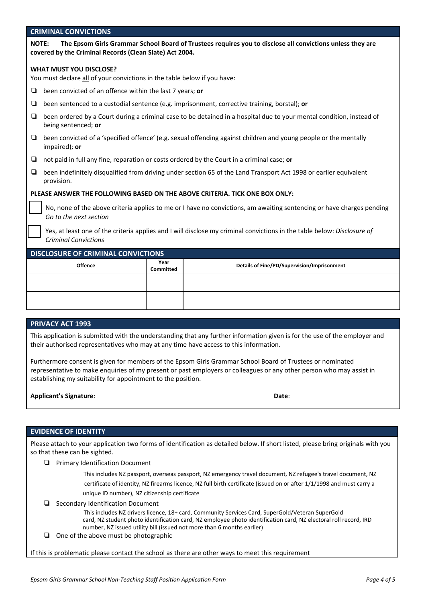#### CRIMINAL CONVICTIONS

| <b>NOTE:</b> | The Epsom Girls Grammar School Board of Trustees requires you to disclose all convictions unless they are |
|--------------|-----------------------------------------------------------------------------------------------------------|
|              | covered by the Criminal Records (Clean Slate) Act 2004.                                                   |

#### WHAT MUST YOU DISCLOSE?

You must declare all of your convictions in the table below if you have:

- ❏ been convicted of an offence within the last 7 years; or
- ❏ been sentenced to a custodial sentence (e.g. imprisonment, corrective training, borstal); or
- ❏ been ordered by a Court during a criminal case to be detained in a hospital due to your mental condition, instead of being sentenced; or
- ❏ been convicted of a 'specified offence' (e.g. sexual offending against children and young people or the mentally impaired); or
- ❏ not paid in full any fine, reparation or costs ordered by the Court in a criminal case; or
- ❏ been indefinitely disqualified from driving under section 65 of the Land Transport Act 1998 or earlier equivalent provision.

#### PLEASE ANSWER THE FOLLOWING BASED ON THE ABOVE CRITERIA. TICK ONE BOX ONLY:

No, none of the above criteria applies to me or I have no convictions, am awaiting sentencing or have charges pending Go to the next section

Yes, at least one of the criteria applies and I will disclose my criminal convictions in the table below: Disclosure of Criminal Convictions

| <b>DISCLOSURE OF CRIMINAL CONVICTIONS</b> |                   |                                             |  |
|-------------------------------------------|-------------------|---------------------------------------------|--|
| <b>Offence</b>                            | Year<br>Committed | Details of Fine/PD/Supervision/Imprisonment |  |
|                                           |                   |                                             |  |
|                                           |                   |                                             |  |

#### PRIVACY ACT 1993

This application is submitted with the understanding that any further information given is for the use of the employer and their authorised representatives who may at any time have access to this information.

Furthermore consent is given for members of the Epsom Girls Grammar School Board of Trustees or nominated representative to make enquiries of my present or past employers or colleagues or any other person who may assist in establishing my suitability for appointment to the position.

| <b>Applicant's Signature:</b> | Date: |
|-------------------------------|-------|
|                               |       |

#### EVIDENCE OF IDENTITY

Please attach to your application two forms of identification as detailed below. If short listed, please bring originals with you so that these can be sighted.

❏ Primary Identification Document

This includes NZ passport, overseas passport, NZ emergency travel document, NZ refugee's travel document, NZ certificate of identity, NZ firearms licence, NZ full birth certificate (issued on or after 1/1/1998 and must carry a unique ID number), NZ citizenship certificate

❏ Secondary Identification Document

This includes NZ drivers licence, 18+ card, Community Services Card, SuperGold/Veteran SuperGold card, NZ student photo identification card, NZ employee photo identification card, NZ electoral roll record, IRD number, NZ issued utility bill (issued not more than 6 months earlier)

❏ One of the above must be photographic

If this is problematic please contact the school as there are other ways to meet this requirement